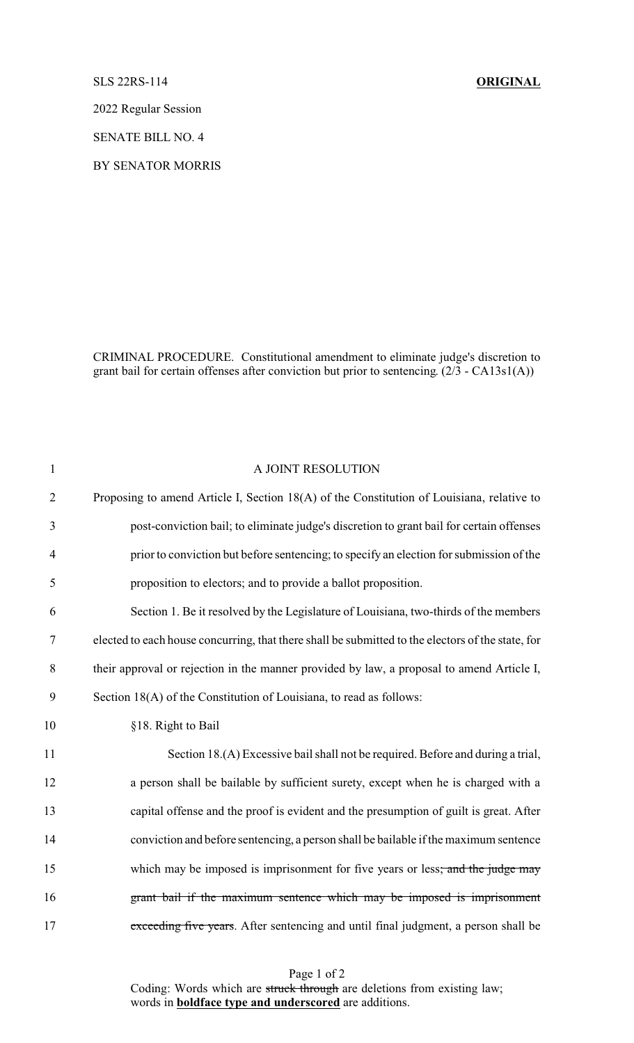## SLS 22RS-114 **ORIGINAL**

2022 Regular Session

SENATE BILL NO. 4

BY SENATOR MORRIS

CRIMINAL PROCEDURE. Constitutional amendment to eliminate judge's discretion to grant bail for certain offenses after conviction but prior to sentencing. (2/3 - CA13s1(A))

| $\mathbf{1}$   | A JOINT RESOLUTION                                                                                |
|----------------|---------------------------------------------------------------------------------------------------|
| $\overline{2}$ | Proposing to amend Article I, Section 18(A) of the Constitution of Louisiana, relative to         |
| 3              | post-conviction bail; to eliminate judge's discretion to grant bail for certain offenses          |
| $\overline{4}$ | prior to conviction but before sentencing; to specify an election for submission of the           |
| 5              | proposition to electors; and to provide a ballot proposition.                                     |
| 6              | Section 1. Be it resolved by the Legislature of Louisiana, two-thirds of the members              |
| 7              | elected to each house concurring, that there shall be submitted to the electors of the state, for |
| 8              | their approval or rejection in the manner provided by law, a proposal to amend Article I,         |
| 9              | Section 18(A) of the Constitution of Louisiana, to read as follows:                               |
| 10             | §18. Right to Bail                                                                                |
| 11             | Section 18.(A) Excessive bail shall not be required. Before and during a trial,                   |
| 12             | a person shall be bailable by sufficient surety, except when he is charged with a                 |
| 13             | capital offense and the proof is evident and the presumption of guilt is great. After             |
| 14             | conviction and before sentencing, a person shall be bailable if the maximum sentence              |
| 15             | which may be imposed is imprisonment for five years or less; and the judge may                    |
| 16             | grant bail if the maximum sentence which may be imposed is imprisonment                           |
| 17             | exceeding five years. After sentencing and until final judgment, a person shall be                |

Page 1 of 2 Coding: Words which are struck through are deletions from existing law; words in **boldface type and underscored** are additions.